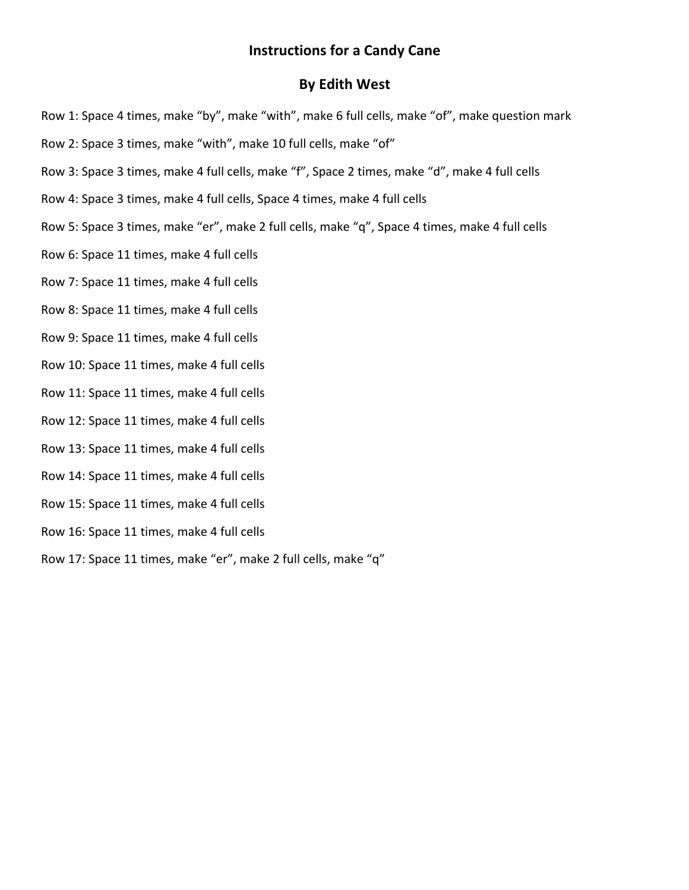## **Instructions for a Candy Cane**

## **By Edith West**

- Row 1: Space 4 times, make "by", make "with", make 6 full cells, make "of", make question mark
- Row 2: Space 3 times, make "with", make 10 full cells, make "of"
- Row 3: Space 3 times, make 4 full cells, make "f", Space 2 times, make "d", make 4 full cells
- Row 4: Space 3 times, make 4 full cells, Space 4 times, make 4 full cells
- Row 5: Space 3 times, make "er", make 2 full cells, make "q", Space 4 times, make 4 full cells
- Row 6: Space 11 times, make 4 full cells
- Row 7: Space 11 times, make 4 full cells
- Row 8: Space 11 times, make 4 full cells
- Row 9: Space 11 times, make 4 full cells
- Row 10: Space 11 times, make 4 full cells
- Row 11: Space 11 times, make 4 full cells
- Row 12: Space 11 times, make 4 full cells
- Row 13: Space 11 times, make 4 full cells
- Row 14: Space 11 times, make 4 full cells
- Row 15: Space 11 times, make 4 full cells
- Row 16: Space 11 times, make 4 full cells
- Row 17: Space 11 times, make "er", make 2 full cells, make "q"